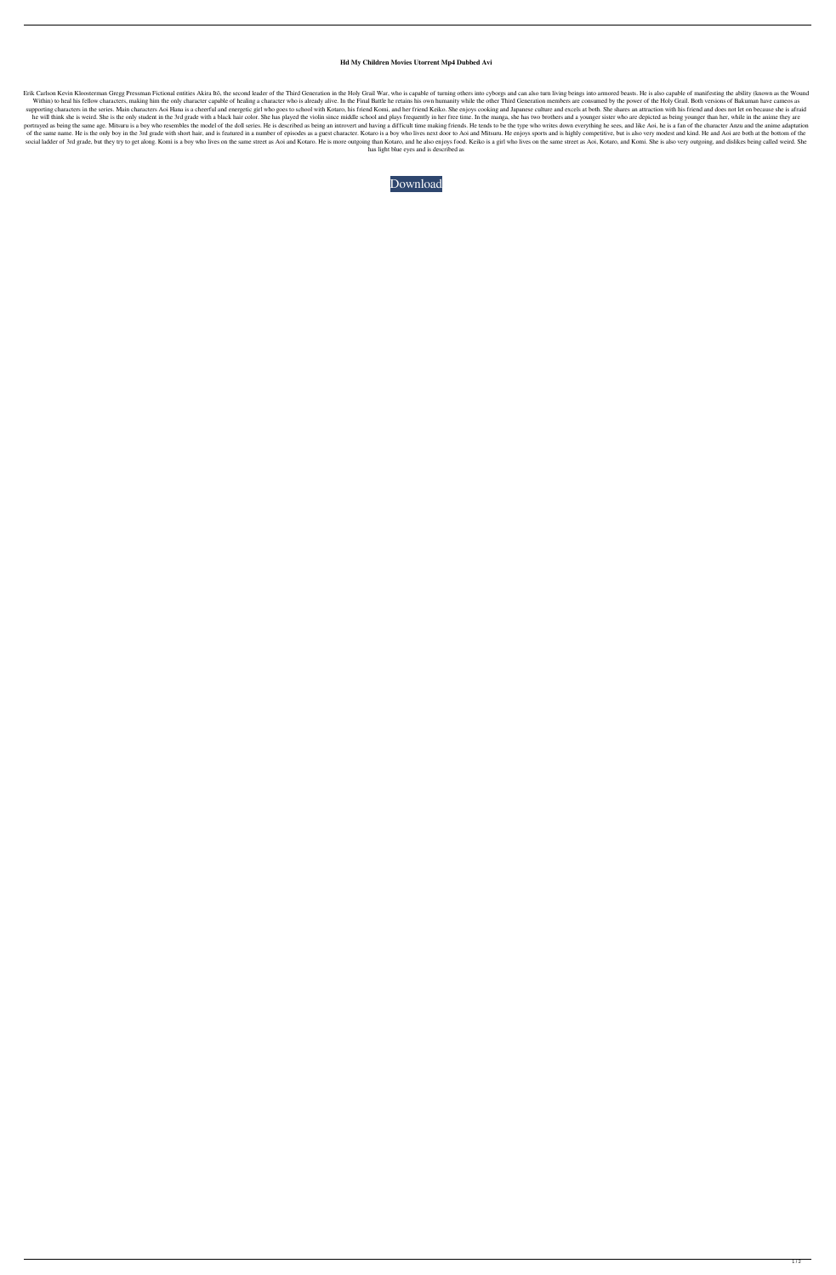## **Hd My Children Movies Utorrent Mp4 Dubbed Avi**

Erik Carlson Kevin Kloosterman Gregg Pressman Fictional entities Akira Itō, the second leader of the Third Generation in the Holy Grail War, who is capable of turning others into cyborgs and can also turn living beings int Within) to heal his fellow characters, making him the only character capable of healing a character who is already alive. In the Final Battle he retains his own humanity while the other Third Generation members are consume supporting characters in the series. Main characters Aoi Hana is a cheerful and energetic girl who goes to school with Kotaro, his friend Komi, and her friend Keiko. She enjoys cooking and Japanese culture and excels at bo he will think she is weird. She is the only student in the 3rd grade with a black hair color. She has played the violin since middle school and plays frequently in her free time. In the manga, she has two brothers and a yo portrayed as being the same age. Mitsuru is a boy who resembles the model of the doll series. He is described as being an introvert and having a difficult time making friends. He tends to be the type who writes down everyt of the same name. He is the only boy in the 3rd grade with short hair, and is featured in a number of episodes as a guest character. Kotaro is a boy who lives next door to Aoi and Mitsuru. He enjoys sports and is highly co social ladder of 3rd grade, but they try to get along. Komi is a boy who lives on the same street as Aoi and Kotaro. He is more outgoing than Kotaro, and he also enjoys food. Keiko is a girl who lives on the same street as has light blue eyes and is described as